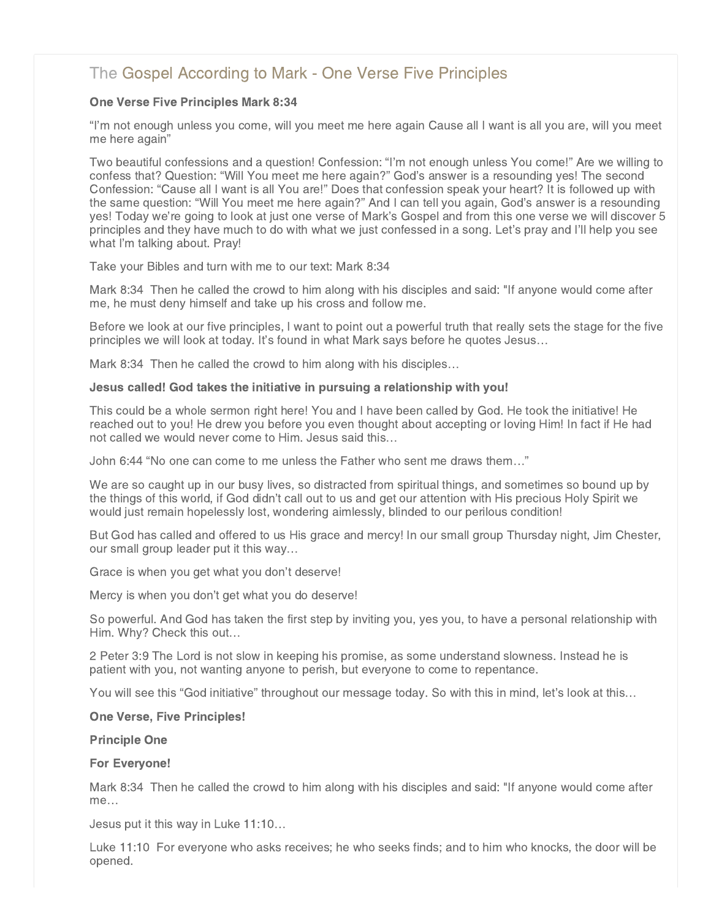# [The Gospel According to Mark - One Verse Five Principles](http://northshorechurch.net/resources/sermons/sermon-notes/441-the-gospel-according-to-mark-one-verse-five-principles)

# One Verse Five Principles Mark 8:34

"I'm not enough unless you come, will you meet me here again Cause all I want is all you are, will you meet me here again"

Two beautiful confessions and a question! Confession: "I'm not enough unless You come!" Are we willing to confess that? Question: "Will You meet me here again?" God's answer is a resounding yes! The second Confession: "Cause all I want is all You are!" Does that confession speak your heart? It is followed up with the same question: "Will You meet me here again?" And I can tell you again, God's answer is a resounding yes! Today we're going to look at just one verse of Mark's Gospel and from this one verse we will discover 5 principles and they have much to do with what we just confessed in a song. Let's pray and I'll help you see what I'm talking about. Pray!

Take your Bibles and turn with me to our text: Mark 8:34

Mark 8:34 Then he called the crowd to him along with his disciples and said: "If anyone would come after me, he must deny himself and take up his cross and follow me.

Before we look at our five principles, I want to point out a powerful truth that really sets the stage for the five principles we will look at today. It's found in what Mark says before he quotes Jesus…

Mark 8:34 Then he called the crowd to him along with his disciples…

# Jesus called! God takes the initiative in pursuing a relationship with you!

This could be a whole sermon right here! You and I have been called by God. He took the initiative! He reached out to you! He drew you before you even thought about accepting or loving Him! In fact if He had not called we would never come to Him. Jesus said this…

John 6:44 "No one can come to me unless the Father who sent me draws them…"

We are so caught up in our busy lives, so distracted from spiritual things, and sometimes so bound up by the things of this world, if God didn't call out to us and get our attention with His precious Holy Spirit we would just remain hopelessly lost, wondering aimlessly, blinded to our perilous condition!

But God has called and offered to us His grace and mercy! In our small group Thursday night, Jim Chester, our small group leader put it this way…

Grace is when you get what you don't deserve!

Mercy is when you don't get what you do deserve!

So powerful. And God has taken the first step by inviting you, yes you, to have a personal relationship with Him. Why? Check this out…

2 Peter 3:9 The Lord is not slow in keeping his promise, as some understand slowness. Instead he is patient with you, not wanting anyone to perish, but everyone to come to repentance.

You will see this "God initiative" throughout our message today. So with this in mind, let's look at this…

# One Verse, Five Principles!

# Principle One

# For Everyone!

Mark 8:34 Then he called the crowd to him along with his disciples and said: "If anyone would come after me…

Jesus put it this way in Luke 11:10…

Luke 11:10 For everyone who asks receives; he who seeks finds; and to him who knocks, the door will be opened.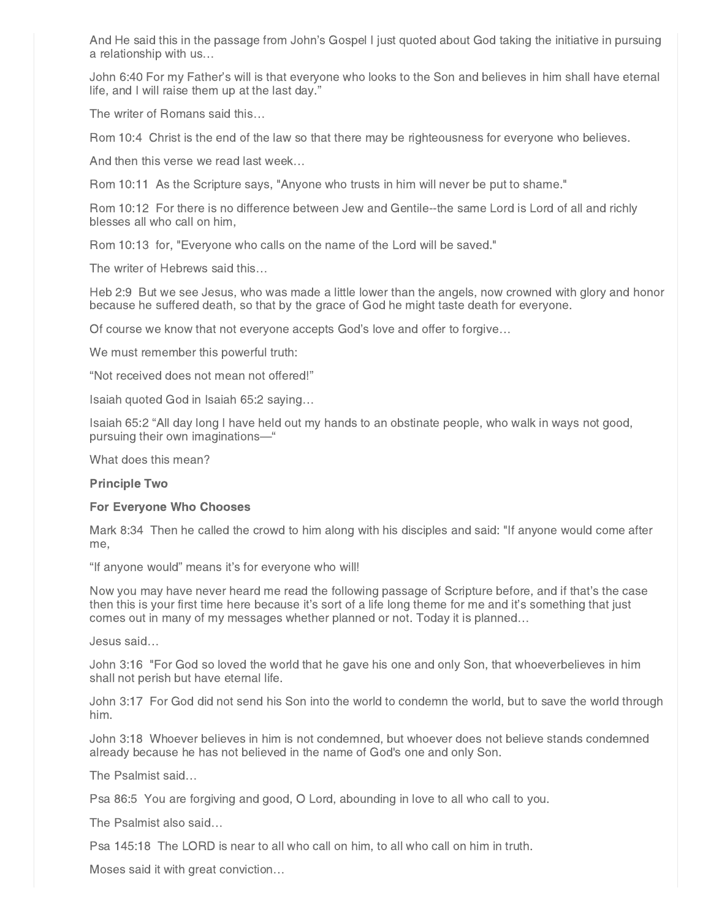And He said this in the passage from John's Gospel I just quoted about God taking the initiative in pursuing a relationship with us…

John 6:40 For my Father's will is that everyone who looks to the Son and believes in him shall have eternal life, and I will raise them up at the last day."

The writer of Romans said this…

Rom 10:4 Christ is the end of the law so that there may be righteousness for everyone who believes.

And then this verse we read last week…

Rom 10:11 As the Scripture says, "Anyone who trusts in him will never be put to shame."

Rom 10:12 For there is no difference between Jew and Gentile--the same Lord is Lord of all and richly blesses all who call on him,

Rom 10:13 for, "Everyone who calls on the name of the Lord will be saved."

The writer of Hebrews said this…

Heb 2:9 But we see Jesus, who was made a little lower than the angels, now crowned with glory and honor because he suffered death, so that by the grace of God he might taste death for everyone.

Of course we know that not everyone accepts God's love and offer to forgive…

We must remember this powerful truth:

"Not received does not mean not offered!"

Isaiah quoted God in Isaiah 65:2 saying…

Isaiah 65:2 "All day long I have held out my hands to an obstinate people, who walk in ways not good, pursuing their own imaginations—"

What does this mean?

#### Principle Two

#### For Everyone Who Chooses

Mark 8:34 Then he called the crowd to him along with his disciples and said: "If anyone would come after me,

"If anyone would" means it's for everyone who will!

Now you may have never heard me read the following passage of Scripture before, and if that's the case then this is your first time here because it's sort of a life long theme for me and it's something that just comes out in many of my messages whether planned or not. Today it is planned…

Jesus said…

John 3:16 "For God so loved the world that he gave his one and only Son, that whoeverbelieves in him shall not perish but have eternal life.

John 3:17 For God did not send his Son into the world to condemn the world, but to save the world through him.

John 3:18 Whoever believes in him is not condemned, but whoever does not believe stands condemned already because he has not believed in the name of God's one and only Son.

The Psalmist said…

Psa 86:5 You are forgiving and good, O Lord, abounding in love to all who call to you.

The Psalmist also said…

Psa 145:18 The LORD is near to all who call on him, to all who call on him in truth.

Moses said it with great conviction…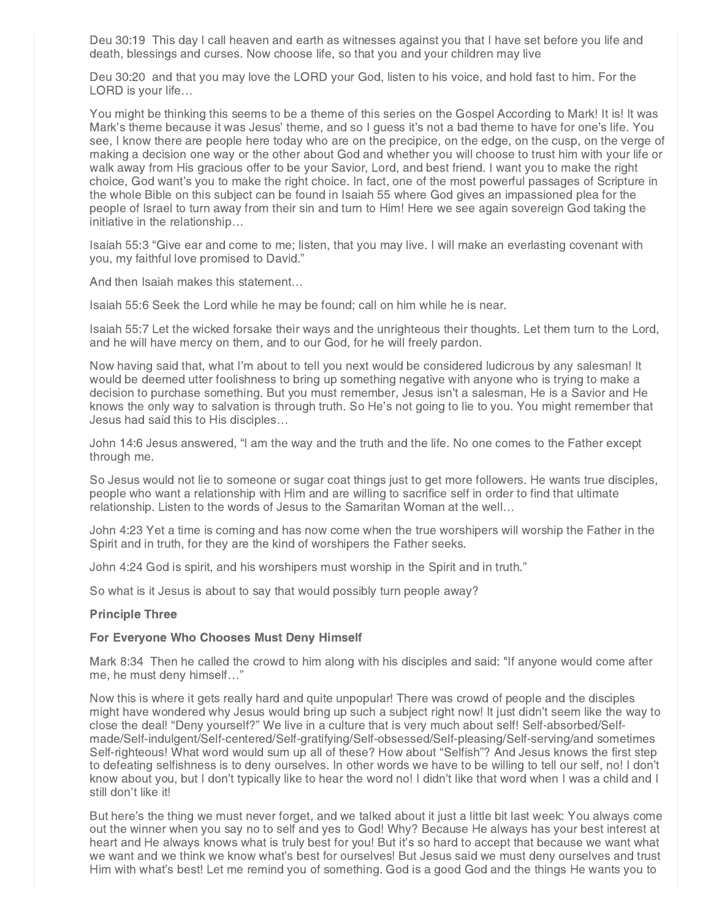Deu 30:19 This day I call heaven and earth as witnesses against you that I have set before you life and death, blessings and curses. Now choose life, so that you and your children may live

Deu 30:20 and that you may love the LORD your God, listen to his voice, and hold fast to him. For the LORD is your life...

You might be thinking this seems to be a theme of this series on the Gospel According to Mark! It is! It was Mark's theme because it was Jesus' theme, and so I guess it's not a bad theme to have for one's life. You see, I know there are people here today who are on the precipice, on the edge, on the cusp, on the verge of making a decision one way or the other about God and whether you will choose to trust him with your life or walk away from His gracious offer to be your Savior, Lord, and best friend. I want you to make the right choice, God want's you to make the right choice. In fact, one of the most powerful passages of Scripture in the whole Bible on this subject can be found in Isaiah 55 where God gives an impassioned plea for the people of Israel to turn away from their sin and turn to Him! Here we see again sovereign God taking the initiative in the relationship…

Isaiah 55:3 "Give ear and come to me; listen, that you may live. I will make an everlasting covenant with you, my faithful love promised to David."

And then Isaiah makes this statement…

Isaiah 55:6 Seek the Lord while he may be found; call on him while he is near.

Isaiah 55:7 Let the wicked forsake their ways and the unrighteous their thoughts. Let them turn to the Lord, and he will have mercy on them, and to our God, for he will freely pardon.

Now having said that, what I'm about to tell you next would be considered ludicrous by any salesman! It would be deemed utter foolishness to bring up something negative with anyone who is trying to make a decision to purchase something. But you must remember, Jesus isn't a salesman, He is a Savior and He knows the only way to salvation is through truth. So He's not going to lie to you. You might remember that Jesus had said this to His disciples…

John 14:6 Jesus answered, "I am the way and the truth and the life. No one comes to the Father except through me.

So Jesus would not lie to someone or sugar coat things just to get more followers. He wants true disciples, people who want a relationship with Him and are willing to sacrifice self in order to find that ultimate relationship. Listen to the words of Jesus to the Samaritan Woman at the well…

John 4:23 Yet a time is coming and has now come when the true worshipers will worship the Father in the Spirit and in truth, for they are the kind of worshipers the Father seeks.

John 4:24 God is spirit, and his worshipers must worship in the Spirit and in truth."

So what is it Jesus is about to say that would possibly turn people away?

#### Principle Three

## For Everyone Who Chooses Must Deny Himself

Mark 8:34 Then he called the crowd to him along with his disciples and said: "If anyone would come after me, he must deny himself…"

Now this is where it gets really hard and quite unpopular! There was crowd of people and the disciples might have wondered why Jesus would bring up such a subject right now! It just didn't seem like the way to close the deal! "Deny yourself?" We live in a culture that is very much about self! Self-absorbed/Selfmade/Self-indulgent/Self-centered/Self-gratifying/Self-obsessed/Self-pleasing/Self-serving/and sometimes Self-righteous! What word would sum up all of these? How about "Selfish"? And Jesus knows the first step to defeating selfishness is to deny ourselves. In other words we have to be willing to tell our self, no! I don't know about you, but I don't typically like to hear the word no! I didn't like that word when I was a child and I still don't like it!

But here's the thing we must never forget, and we talked about it just a little bit last week: You always come out the winner when you say no to self and yes to God! Why? Because He always has your best interest at heart and He always knows what is truly best for you! But it's so hard to accept that because we want what we want and we think we know what's best for ourselves! But Jesus said we must deny ourselves and trust Him with what's best! Let me remind you of something. God is a good God and the things He wants you to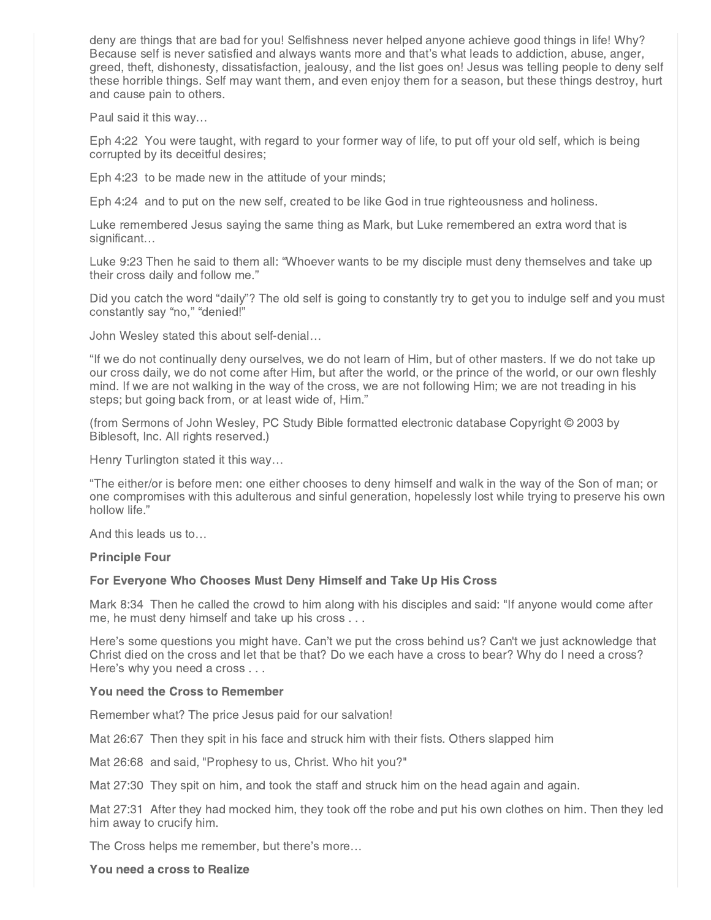deny are things that are bad for you! Selfishness never helped anyone achieve good things in life! Why? Because self is never satisfied and always wants more and that's what leads to addiction, abuse, anger, greed, theft, dishonesty, dissatisfaction, jealousy, and the list goes on! Jesus was telling people to deny self these horrible things. Self may want them, and even enjoy them for a season, but these things destroy, hurt and cause pain to others.

Paul said it this way…

Eph 4:22 You were taught, with regard to your former way of life, to put off your old self, which is being corrupted by its deceitful desires;

Eph 4:23 to be made new in the attitude of your minds;

Eph 4:24 and to put on the new self, created to be like God in true righteousness and holiness.

Luke remembered Jesus saying the same thing as Mark, but Luke remembered an extra word that is significant…

Luke 9:23 Then he said to them all: "Whoever wants to be my disciple must deny themselves and take up their cross daily and follow me."

Did you catch the word "daily"? The old self is going to constantly try to get you to indulge self and you must constantly say "no," "denied!"

John Wesley stated this about self-denial…

"If we do not continually deny ourselves, we do not learn of Him, but of other masters. If we do not take up our cross daily, we do not come after Him, but after the world, or the prince of the world, or our own fleshly mind. If we are not walking in the way of the cross, we are not following Him; we are not treading in his steps; but going back from, or at least wide of, Him."

(from Sermons of John Wesley, PC Study Bible formatted electronic database Copyright © 2003 by Biblesoft, Inc. All rights reserved.)

Henry Turlington stated it this way…

"The either/or is before men: one either chooses to deny himself and walk in the way of the Son of man; or one compromises with this adulterous and sinful generation, hopelessly lost while trying to preserve his own hollow life."

And this leads us to…

#### Principle Four

## For Everyone Who Chooses Must Deny Himself and Take Up His Cross

Mark 8:34 Then he called the crowd to him along with his disciples and said: "If anyone would come after me, he must deny himself and take up his cross . . .

Here's some questions you might have. Can't we put the cross behind us? Can't we just acknowledge that Christ died on the cross and let that be that? Do we each have a cross to bear? Why do I need a cross? Here's why you need a cross . . .

## You need the Cross to Remember

Remember what? The price Jesus paid for our salvation!

Mat 26:67 Then they spit in his face and struck him with their fists. Others slapped him

Mat 26:68 and said, "Prophesy to us, Christ. Who hit you?"

Mat 27:30 They spit on him, and took the staff and struck him on the head again and again.

Mat 27:31 After they had mocked him, they took off the robe and put his own clothes on him. Then they led him away to crucify him.

The Cross helps me remember, but there's more…

You need a cross to Realize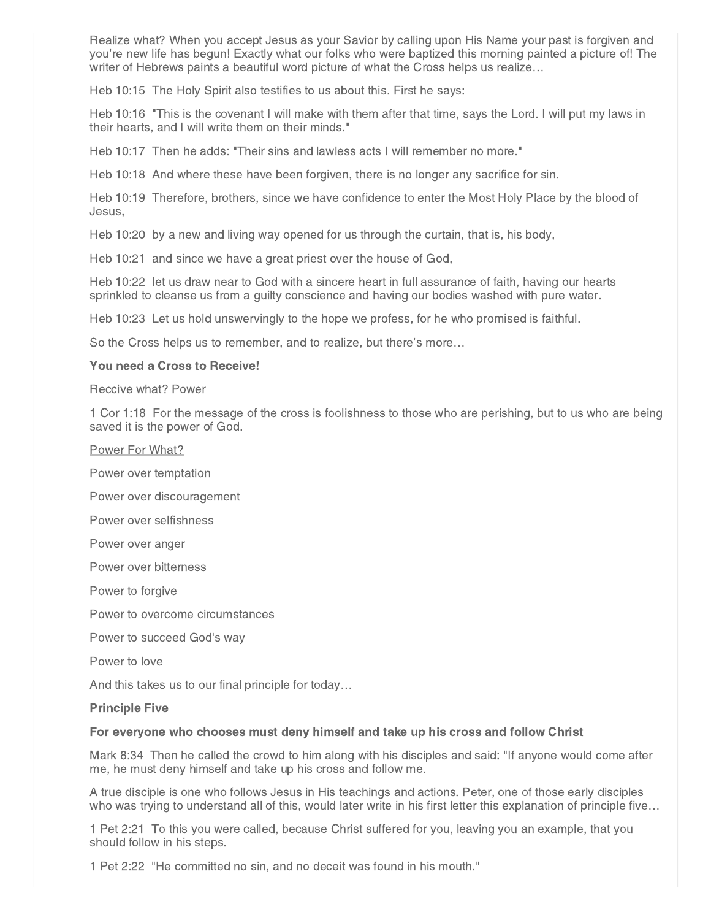Realize what? When you accept Jesus as your Savior by calling upon His Name your past is forgiven and you're new life has begun! Exactly what our folks who were baptized this morning painted a picture of! The writer of Hebrews paints a beautiful word picture of what the Cross helps us realize…

Heb 10:15 The Holy Spirit also testifies to us about this. First he says:

Heb 10:16 "This is the covenant I will make with them after that time, says the Lord. I will put my laws in their hearts, and I will write them on their minds."

Heb 10:17 Then he adds: "Their sins and lawless acts I will remember no more."

Heb 10:18 And where these have been forgiven, there is no longer any sacrifice for sin.

Heb 10:19 Therefore, brothers, since we have confidence to enter the Most Holy Place by the blood of Jesus,

Heb 10:20 by a new and living way opened for us through the curtain, that is, his body,

Heb 10:21 and since we have a great priest over the house of God,

Heb 10:22 let us draw near to God with a sincere heart in full assurance of faith, having our hearts sprinkled to cleanse us from a guilty conscience and having our bodies washed with pure water.

Heb 10:23 Let us hold unswervingly to the hope we profess, for he who promised is faithful.

So the Cross helps us to remember, and to realize, but there's more…

## You need a Cross to Receive!

Reccive what? Power

1 Cor 1:18 For the message of the cross is foolishness to those who are perishing, but to us who are being saved it is the power of God.

Power For What?

Power over temptation

Power over discouragement

Power over selfishness

Power over anger

Power over bitterness

Power to forgive

Power to overcome circumstances

Power to succeed God's way

Power to love

And this takes us to our final principle for today…

## Principle Five

#### For everyone who chooses must deny himself and take up his cross and follow Christ

Mark 8:34 Then he called the crowd to him along with his disciples and said: "If anyone would come after me, he must deny himself and take up his cross and follow me.

A true disciple is one who follows Jesus in His teachings and actions. Peter, one of those early disciples who was trying to understand all of this, would later write in his first letter this explanation of principle five...

1 Pet 2:21 To this you were called, because Christ suffered for you, leaving you an example, that you should follow in his steps.

1 Pet 2:22 "He committed no sin, and no deceit was found in his mouth."